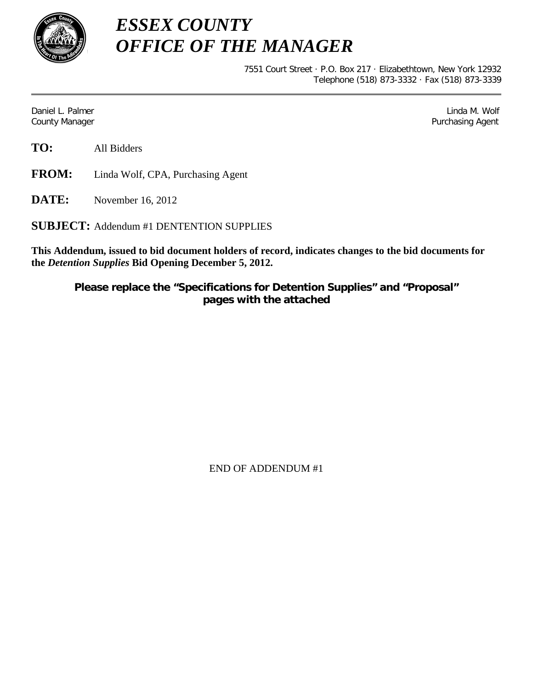

*ESSEX COUNTY OFFICE OF THE MANAGER*

> 7551 Court Street · P.O. Box 217 · Elizabethtown, New York 12932 Telephone (518) 873-3332 · Fax (518) 873-3339

Daniel L. Palmer Later and the control of the control of the control of the control of the control of the control of the control of the control of the control of the control of the control of the control of the control of County Manager Purchasing Agent

**TO:** All Bidders

**FROM:** Linda Wolf, CPA, Purchasing Agent

**DATE:** November 16, 2012

**SUBJECT:** Addendum #1 DENTENTION SUPPLIES

**This Addendum, issued to bid document holders of record, indicates changes to the bid documents for the** *Detention Supplies* **Bid Opening December 5, 2012.**

**Please replace the "Specifications for Detention Supplies" and "Proposal" pages with the attached** 

END OF ADDENDUM #1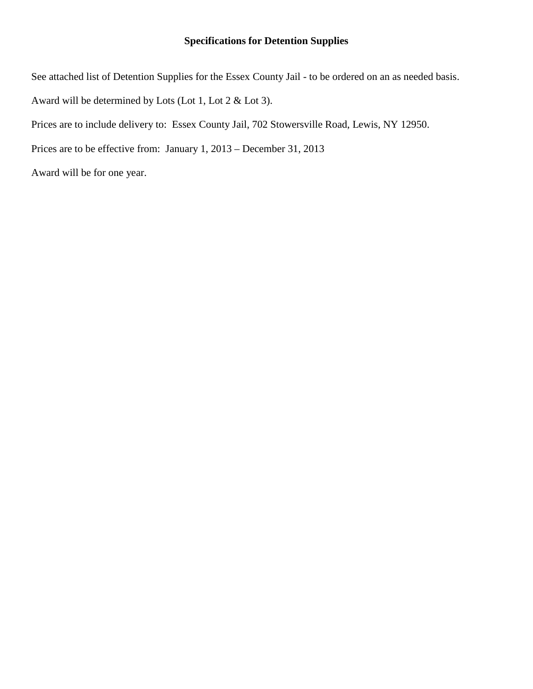# **Specifications for Detention Supplies**

See attached list of Detention Supplies for the Essex County Jail - to be ordered on an as needed basis. Award will be determined by Lots (Lot 1, Lot 2 & Lot 3). Prices are to include delivery to: Essex County Jail, 702 Stowersville Road, Lewis, NY 12950. Prices are to be effective from: January 1, 2013 – December 31, 2013 Award will be for one year.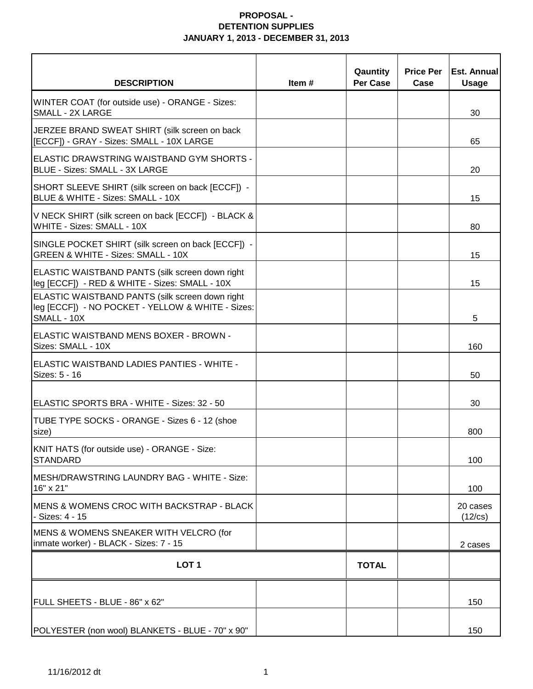| <b>DESCRIPTION</b>                                                                                                  | Item $#$ | Qauntity<br>Per Case | <b>Price Per</b><br>Case | <b>Est. Annual</b><br><b>Usage</b> |
|---------------------------------------------------------------------------------------------------------------------|----------|----------------------|--------------------------|------------------------------------|
| WINTER COAT (for outside use) - ORANGE - Sizes:<br><b>SMALL - 2X LARGE</b>                                          |          |                      |                          | 30                                 |
| JERZEE BRAND SWEAT SHIRT (silk screen on back<br>[ECCF]) - GRAY - Sizes: SMALL - 10X LARGE                          |          |                      |                          | 65                                 |
| ELASTIC DRAWSTRING WAISTBAND GYM SHORTS -<br><b>BLUE - Sizes: SMALL - 3X LARGE</b>                                  |          |                      |                          | 20                                 |
| SHORT SLEEVE SHIRT (silk screen on back [ECCF]) -<br>BLUE & WHITE - Sizes: SMALL - 10X                              |          |                      |                          | 15                                 |
| V NECK SHIRT (silk screen on back [ECCF]) - BLACK &<br>WHITE - Sizes: SMALL - 10X                                   |          |                      |                          | 80                                 |
| SINGLE POCKET SHIRT (silk screen on back [ECCF]) -<br><b>GREEN &amp; WHITE - Sizes: SMALL - 10X</b>                 |          |                      |                          | 15                                 |
| ELASTIC WAISTBAND PANTS (silk screen down right<br>leg [ECCF]) - RED & WHITE - Sizes: SMALL - 10X                   |          |                      |                          | 15                                 |
| ELASTIC WAISTBAND PANTS (silk screen down right<br>leg [ECCF]) - NO POCKET - YELLOW & WHITE - Sizes:<br>SMALL - 10X |          |                      |                          | 5                                  |
| ELASTIC WAISTBAND MENS BOXER - BROWN -<br>Sizes: SMALL - 10X                                                        |          |                      |                          | 160                                |
| IELASTIC WAISTBAND LADIES PANTIES - WHITE -<br>Sizes: 5 - 16                                                        |          |                      |                          | 50                                 |
| ELASTIC SPORTS BRA - WHITE - Sizes: 32 - 50                                                                         |          |                      |                          | 30                                 |
| TUBE TYPE SOCKS - ORANGE - Sizes 6 - 12 (shoe<br>size)                                                              |          |                      |                          | 800                                |
| KNIT HATS (for outside use) - ORANGE - Size:<br>STANDARD                                                            |          |                      |                          | 100                                |
| IMESH/DRAWSTRING LAUNDRY BAG - WHITE - Size:<br>16" x 21"                                                           |          |                      |                          | 100                                |
| IMENS & WOMENS CROC WITH BACKSTRAP - BLACK<br>- Sizes: 4 - 15                                                       |          |                      |                          | 20 cases<br>(12/cs)                |
| MENS & WOMENS SNEAKER WITH VELCRO (for<br>inmate worker) - BLACK - Sizes: 7 - 15                                    |          |                      |                          | 2 cases                            |
| LOT <sub>1</sub>                                                                                                    |          | <b>TOTAL</b>         |                          |                                    |
| FULL SHEETS - BLUE - 86" x 62"                                                                                      |          |                      |                          | 150                                |
| POLYESTER (non wool) BLANKETS - BLUE - 70" x 90"                                                                    |          |                      |                          | 150                                |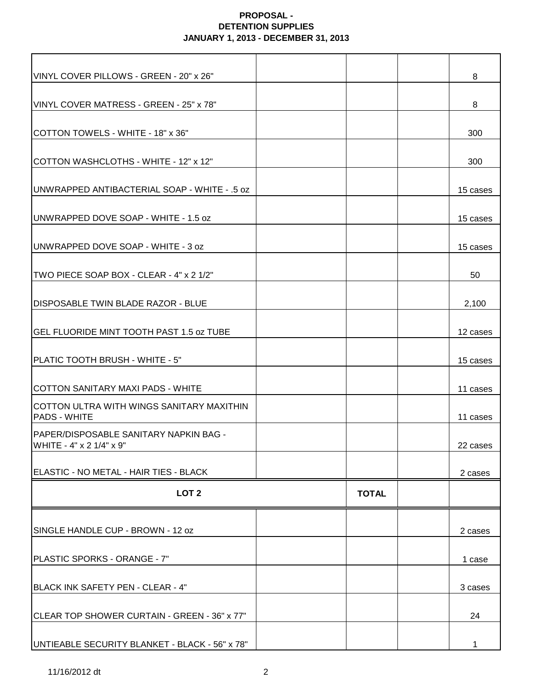| VINYL COVER PILLOWS - GREEN - 20" x 26"                                   |              | 8        |
|---------------------------------------------------------------------------|--------------|----------|
| VINYL COVER MATRESS - GREEN - 25" x 78"                                   |              | 8        |
| COTTON TOWELS - WHITE - 18" x 36"                                         |              | 300      |
| COTTON WASHCLOTHS - WHITE - 12" x 12"                                     |              | 300      |
| <b>JUNWRAPPED ANTIBACTERIAL SOAP - WHITE - .5 oz</b>                      |              | 15 cases |
| UNWRAPPED DOVE SOAP - WHITE - 1.5 oz                                      |              | 15 cases |
| <b>IUNWRAPPED DOVE SOAP - WHITE - 3 oz</b>                                |              | 15 cases |
| TWO PIECE SOAP BOX - CLEAR - 4" x 2 1/2"                                  |              | 50       |
| <b>IDISPOSABLE TWIN BLADE RAZOR - BLUE</b>                                |              | 2,100    |
| <b>GEL FLUORIDE MINT TOOTH PAST 1.5 oz TUBE</b>                           |              | 12 cases |
| PLATIC TOOTH BRUSH - WHITE - 5"                                           |              | 15 cases |
| COTTON SANITARY MAXI PADS - WHITE                                         |              | 11 cases |
| ICOTTON ULTRA WITH WINGS SANITARY MAXITHIN<br><b>PADS - WHITE</b>         |              | 11 cases |
| <b>PAPER/DISPOSABLE SANITARY NAPKIN BAG -</b><br>WHITE - 4" x 2 1/4" x 9" |              | 22 cases |
| ELASTIC - NO METAL - HAIR TIES - BLACK                                    |              | 2 cases  |
| LOT <sub>2</sub>                                                          | <b>TOTAL</b> |          |
| SINGLE HANDLE CUP - BROWN - 12 oz                                         |              | 2 cases  |
| PLASTIC SPORKS - ORANGE - 7"                                              |              | 1 case   |
| BLACK INK SAFETY PEN - CLEAR - 4"                                         |              | 3 cases  |
| CLEAR TOP SHOWER CURTAIN - GREEN - 36" x 77"                              |              | 24       |
| UNTIEABLE SECURITY BLANKET - BLACK - 56" x 78"                            |              |          |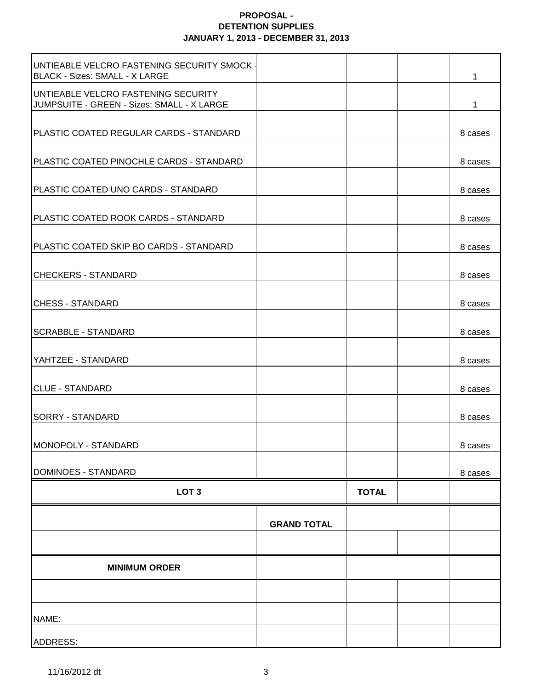| UNTIEABLE VELCRO FASTENING SECURITY SMOCK -<br>BLACK - Sizes: SMALL - X LARGE     |                    |              | 1       |
|-----------------------------------------------------------------------------------|--------------------|--------------|---------|
| UNTIEABLE VELCRO FASTENING SECURITY<br>JUMPSUITE - GREEN - Sizes: SMALL - X LARGE |                    |              | 1       |
| <b>PLASTIC COATED REGULAR CARDS - STANDARD</b>                                    |                    |              | 8 cases |
| PLASTIC COATED PINOCHLE CARDS - STANDARD                                          |                    |              | 8 cases |
| PLASTIC COATED UNO CARDS - STANDARD                                               |                    |              | 8 cases |
| <b>PLASTIC COATED ROOK CARDS - STANDARD</b>                                       |                    |              | 8 cases |
| PLASTIC COATED SKIP BO CARDS - STANDARD                                           |                    |              | 8 cases |
| <b>CHECKERS - STANDARD</b>                                                        |                    |              | 8 cases |
| <b>CHESS - STANDARD</b>                                                           |                    |              | 8 cases |
| <b>SCRABBLE - STANDARD</b>                                                        |                    |              | 8 cases |
| YAHTZEE - STANDARD                                                                |                    |              | 8 cases |
| <b>CLUE - STANDARD</b>                                                            |                    |              | 8 cases |
| <b>SORRY - STANDARD</b>                                                           |                    |              | 8 cases |
| MONOPOLY - STANDARD                                                               |                    |              | 8 cases |
| DOMINOES - STANDARD                                                               |                    |              | 8 cases |
| LOT <sub>3</sub>                                                                  |                    | <b>TOTAL</b> |         |
|                                                                                   | <b>GRAND TOTAL</b> |              |         |
|                                                                                   |                    |              |         |
| <b>MINIMUM ORDER</b>                                                              |                    |              |         |
|                                                                                   |                    |              |         |
| NAME:                                                                             |                    |              |         |
| ADDRESS:                                                                          |                    |              |         |